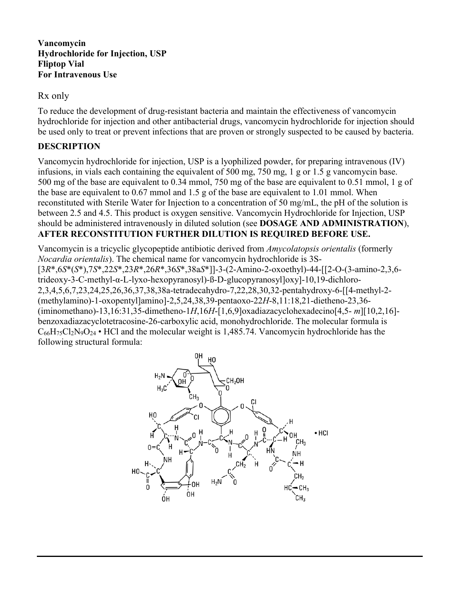**Vancomycin Hydrochloride for Injection, USP Fliptop Vial For Intravenous Use**

## Rx only

To reduce the development of drug-resistant bacteria and maintain the effectiveness of vancomycin hydrochloride for injection and other antibacterial drugs, vancomycin hydrochloride for injection should be used only to treat or prevent infections that are proven or strongly suspected to be caused by bacteria.

## **DESCRIPTION**

Vancomycin hydrochloride for injection, USP is a lyophilized powder, for preparing intravenous (IV) infusions, in vials each containing the equivalent of 500 mg, 750 mg, 1 g or 1.5 g vancomycin base. 500 mg of the base are equivalent to 0.34 mmol, 750 mg of the base are equivalent to 0.51 mmol, 1 g of the base are equivalent to 0.67 mmol and 1.5 g of the base are equivalent to 1.01 mmol. When reconstituted with Sterile Water for Injection to a concentration of 50 mg/mL, the pH of the solution is between 2.5 and 4.5. This product is oxygen sensitive. Vancomycin Hydrochloride for Injection, USP should be administered intravenously in diluted solution (see **DOSAGE AND ADMINISTRATION**), **AFTER RECONSTITUTION FURTHER DILUTION IS REQUIRED BEFORE USE.**

Vancomycin is a tricyclic glycopeptide antibiotic derived from *Amycolatopsis orientalis* (formerly *Nocardia orientalis*). The chemical name for vancomycin hydrochloride is 3S- [3*R*\*,6*S*\*(*S*\*),7*S*\*,22*S*\*,23*R*\*,26*R*\*,36*S*\*,38a*S*\*]]-3-(2-Amino-2-oxoethyl)-44-[[2-O-(3-amino-2,3,6 trideoxy-3-C-methyl-α-L-lyxo-hexopyranosyl)-ß-D-glucopyranosyl]oxy]-10,19-dichloro-2,3,4,5,6,7,23,24,25,26,36,37,38,38a-tetradecahydro-7,22,28,30,32-pentahydroxy-6-[[4-methyl-2- (methylamino)-1-oxopentyl]amino]-2,5,24,38,39-pentaoxo-22*H*-8,11:18,21-dietheno-23,36- (iminomethano)-13,16:31,35-dimetheno-1*H*,16*H*-[1,6,9]oxadiazacyclohexadecino[4,5- *m*][10,2,16] benzoxadiazacyclotetracosine-26-carboxylic acid, monohydrochloride. The molecular formula is  $C_{66}H_{75}Cl_2N_9O_{24}$  • HCl and the molecular weight is 1,485.74. Vancomycin hydrochloride has the following structural formula:

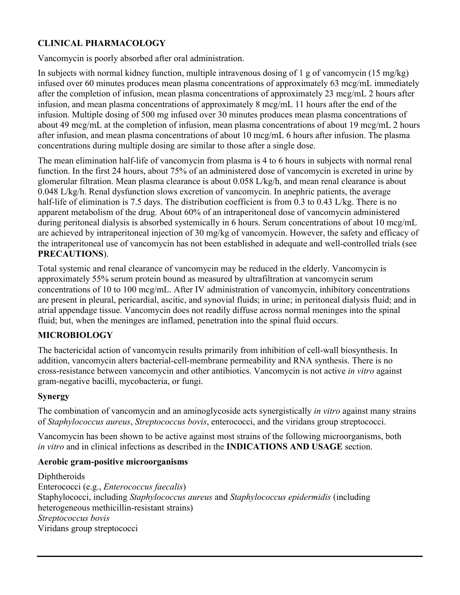## **CLINICAL PHARMACOLOGY**

Vancomycin is poorly absorbed after oral administration.

In subjects with normal kidney function, multiple intravenous dosing of 1 g of vancomycin (15 mg/kg) infused over 60 minutes produces mean plasma concentrations of approximately 63 mcg/mL immediately after the completion of infusion, mean plasma concentrations of approximately 23 mcg/mL 2 hours after infusion, and mean plasma concentrations of approximately 8 mcg/mL 11 hours after the end of the infusion. Multiple dosing of 500 mg infused over 30 minutes produces mean plasma concentrations of about 49 mcg/mL at the completion of infusion, mean plasma concentrations of about 19 mcg/mL 2 hours after infusion, and mean plasma concentrations of about 10 mcg/mL 6 hours after infusion. The plasma concentrations during multiple dosing are similar to those after a single dose.

The mean elimination half-life of vancomycin from plasma is 4 to 6 hours in subjects with normal renal function. In the first 24 hours, about 75% of an administered dose of vancomycin is excreted in urine by glomerular filtration. Mean plasma clearance is about 0.058 L/kg/h, and mean renal clearance is about 0.048 L/kg/h. Renal dysfunction slows excretion of vancomycin. In anephric patients, the average half-life of elimination is 7.5 days. The distribution coefficient is from 0.3 to 0.43 L/kg. There is no apparent metabolism of the drug. About 60% of an intraperitoneal dose of vancomycin administered during peritoneal dialysis is absorbed systemically in 6 hours. Serum concentrations of about 10 mcg/mL are achieved by intraperitoneal injection of 30 mg/kg of vancomycin. However, the safety and efficacy of the intraperitoneal use of vancomycin has not been established in adequate and well-controlled trials (see **PRECAUTIONS**).

Total systemic and renal clearance of vancomycin may be reduced in the elderly. Vancomycin is approximately 55% serum protein bound as measured by ultrafiltration at vancomycin serum concentrations of 10 to 100 mcg/mL. After IV administration of vancomycin, inhibitory concentrations are present in pleural, pericardial, ascitic, and synovial fluids; in urine; in peritoneal dialysis fluid; and in atrial appendage tissue. Vancomycin does not readily diffuse across normal meninges into the spinal fluid; but, when the meninges are inflamed, penetration into the spinal fluid occurs.

## **MICROBIOLOGY**

The bactericidal action of vancomycin results primarily from inhibition of cell-wall biosynthesis. In addition, vancomycin alters bacterial-cell-membrane permeability and RNA synthesis. There is no cross-resistance between vancomycin and other antibiotics. Vancomycin is not active *in vitro* against gram-negative bacilli, mycobacteria, or fungi.

### **Synergy**

The combination of vancomycin and an aminoglycoside acts synergistically *in vitro* against many strains of *Staphylococcus aureus*, *Streptococcus bovis*, enterococci, and the viridans group streptococci.

Vancomycin has been shown to be active against most strains of the following microorganisms, both *in vitro* and in clinical infections as described in the **INDICATIONS AND USAGE** section.

#### **Aerobic gram-positive microorganisms**

Diphtheroids Enterococci (e.g., *Enterococcus faecalis*) Staphylococci, including *Staphylococcus aureus* and *Staphylococcus epidermidis* (including heterogeneous methicillin-resistant strains) *Streptococcus bovis* Viridans group streptococci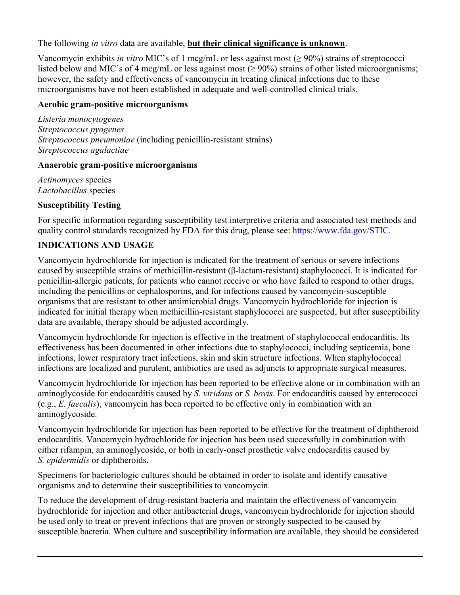### The following *in vitro* data are available, **but their clinical significance is unknown**.

Vancomycin exhibits *in vitro* MIC's of 1 mcg/mL or less against most (≥ 90%) strains of streptococci listed below and MIC's of 4 mcg/mL or less against most ( $\geq$  90%) strains of other listed microorganisms; however, the safety and effectiveness of vancomycin in treating clinical infections due to these microorganisms have not been established in adequate and well-controlled clinical trials.

### **Aerobic gram-positive microorganisms**

*Listeria monocytogenes Streptococcus pyogenes Streptococcus pneumoniae* (including penicillin-resistant strains) *Streptococcus agalactiae*

#### **Anaerobic gram-positive microorganisms**

*Actinomyces* species *Lactobacillus* species

### **Susceptibility Testing**

For specific information regarding susceptibility test interpretive criteria and associated test methods and quality control standards recognized by FDA for this drug, please see: [https://www.fda.gov/STIC.](https://www.fda.gov/STIC)

### **INDICATIONS AND USAGE**

Vancomycin hydrochloride for injection is indicated for the treatment of serious or severe infections caused by susceptible strains of methicillin-resistant (β-lactam-resistant) staphylococci. It is indicated for penicillin-allergic patients, for patients who cannot receive or who have failed to respond to other drugs, including the penicillins or cephalosporins, and for infections caused by vancomycin-susceptible organisms that are resistant to other antimicrobial drugs. Vancomycin hydrochloride for injection is indicated for initial therapy when methicillin-resistant staphylococci are suspected, but after susceptibility data are available, therapy should be adjusted accordingly.

Vancomycin hydrochloride for injection is effective in the treatment of staphylococcal endocarditis. Its effectiveness has been documented in other infections due to staphylococci, including septicemia, bone infections, lower respiratory tract infections, skin and skin structure infections. When staphylococcal infections are localized and purulent, antibiotics are used as adjuncts to appropriate surgical measures.

Vancomycin hydrochloride for injection has been reported to be effective alone or in combination with an aminoglycoside for endocarditis caused by *S. viridans* or *S. bovis*. For endocarditis caused by enterococci (e.g., *E. faecalis*), vancomycin has been reported to be effective only in combination with an aminoglycoside.

Vancomycin hydrochloride for injection has been reported to be effective for the treatment of diphtheroid endocarditis. Vancomycin hydrochloride for injection has been used successfully in combination with either rifampin, an aminoglycoside, or both in early-onset prosthetic valve endocarditis caused by *S. epidermidis* or diphtheroids.

Specimens for bacteriologic cultures should be obtained in order to isolate and identify causative organisms and to determine their susceptibilities to vancomycin.

To reduce the development of drug-resistant bacteria and maintain the effectiveness of vancomycin hydrochloride for injection and other antibacterial drugs, vancomycin hydrochloride for injection should be used only to treat or prevent infections that are proven or strongly suspected to be caused by susceptible bacteria. When culture and susceptibility information are available, they should be considered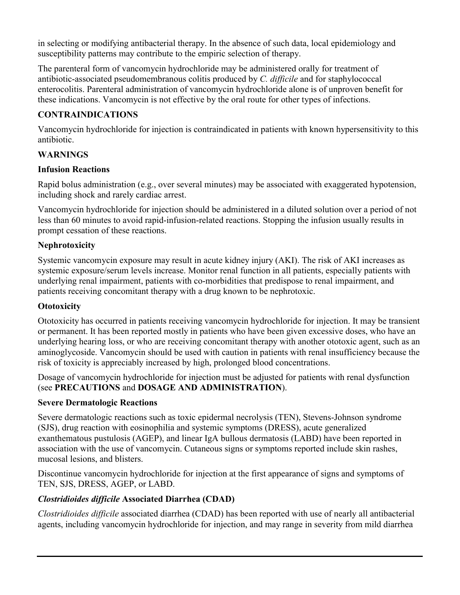in selecting or modifying antibacterial therapy. In the absence of such data, local epidemiology and susceptibility patterns may contribute to the empiric selection of therapy.

The parenteral form of vancomycin hydrochloride may be administered orally for treatment of antibiotic-associated pseudomembranous colitis produced by *C. difficile* and for staphylococcal enterocolitis. Parenteral administration of vancomycin hydrochloride alone is of unproven benefit for these indications. Vancomycin is not effective by the oral route for other types of infections.

## **CONTRAINDICATIONS**

Vancomycin hydrochloride for injection is contraindicated in patients with known hypersensitivity to this antibiotic.

# **WARNINGS**

## **Infusion Reactions**

Rapid bolus administration (e.g., over several minutes) may be associated with exaggerated hypotension, including shock and rarely cardiac arrest.

Vancomycin hydrochloride for injection should be administered in a diluted solution over a period of not less than 60 minutes to avoid rapid-infusion-related reactions. Stopping the infusion usually results in prompt cessation of these reactions.

## **Nephrotoxicity**

Systemic vancomycin exposure may result in acute kidney injury (AKI). The risk of AKI increases as systemic exposure/serum levels increase. Monitor renal function in all patients, especially patients with underlying renal impairment, patients with co-morbidities that predispose to renal impairment, and patients receiving concomitant therapy with a drug known to be nephrotoxic.

## **Ototoxicity**

Ototoxicity has occurred in patients receiving vancomycin hydrochloride for injection. It may be transient or permanent. It has been reported mostly in patients who have been given excessive doses, who have an underlying hearing loss, or who are receiving concomitant therapy with another ototoxic agent, such as an aminoglycoside. Vancomycin should be used with caution in patients with renal insufficiency because the risk of toxicity is appreciably increased by high, prolonged blood concentrations.

Dosage of vancomycin hydrochloride for injection must be adjusted for patients with renal dysfunction (see **PRECAUTIONS** and **DOSAGE AND ADMINISTRATION**).

## **Severe Dermatologic Reactions**

Severe dermatologic reactions such as toxic epidermal necrolysis (TEN), Stevens-Johnson syndrome (SJS), drug reaction with eosinophilia and systemic symptoms (DRESS), acute generalized exanthematous pustulosis (AGEP), and linear IgA bullous dermatosis (LABD) have been reported in association with the use of vancomycin. Cutaneous signs or symptoms reported include skin rashes, mucosal lesions, and blisters.

Discontinue vancomycin hydrochloride for injection at the first appearance of signs and symptoms of TEN, SJS, DRESS, AGEP, or LABD.

# *Clostridioides difficile* **Associated Diarrhea (CDAD)**

*Clostridioides difficile* associated diarrhea (CDAD) has been reported with use of nearly all antibacterial agents, including vancomycin hydrochloride for injection, and may range in severity from mild diarrhea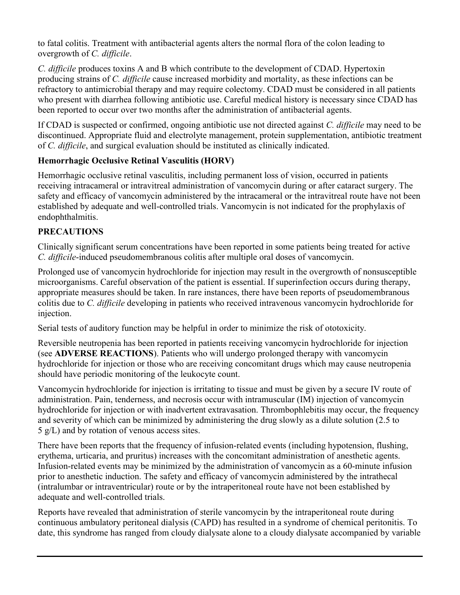to fatal colitis. Treatment with antibacterial agents alters the normal flora of the colon leading to overgrowth of *C. difficile*.

*C. difficile* produces toxins A and B which contribute to the development of CDAD. Hypertoxin producing strains of *C. difficile* cause increased morbidity and mortality, as these infections can be refractory to antimicrobial therapy and may require colectomy. CDAD must be considered in all patients who present with diarrhea following antibiotic use. Careful medical history is necessary since CDAD has been reported to occur over two months after the administration of antibacterial agents.

If CDAD is suspected or confirmed, ongoing antibiotic use not directed against *C. difficile* may need to be discontinued. Appropriate fluid and electrolyte management, protein supplementation, antibiotic treatment of *C. difficile*, and surgical evaluation should be instituted as clinically indicated.

# **Hemorrhagic Occlusive Retinal Vasculitis (HORV)**

Hemorrhagic occlusive retinal vasculitis, including permanent loss of vision, occurred in patients receiving intracameral or intravitreal administration of vancomycin during or after cataract surgery. The safety and efficacy of vancomycin administered by the intracameral or the intravitreal route have not been established by adequate and well-controlled trials. Vancomycin is not indicated for the prophylaxis of endophthalmitis.

# **PRECAUTIONS**

Clinically significant serum concentrations have been reported in some patients being treated for active *C. difficile*-induced pseudomembranous colitis after multiple oral doses of vancomycin.

Prolonged use of vancomycin hydrochloride for injection may result in the overgrowth of nonsusceptible microorganisms. Careful observation of the patient is essential. If superinfection occurs during therapy, appropriate measures should be taken. In rare instances, there have been reports of pseudomembranous colitis due to *C. difficile* developing in patients who received intravenous vancomycin hydrochloride for injection.

Serial tests of auditory function may be helpful in order to minimize the risk of ototoxicity.

Reversible neutropenia has been reported in patients receiving vancomycin hydrochloride for injection (see **ADVERSE REACTIONS**). Patients who will undergo prolonged therapy with vancomycin hydrochloride for injection or those who are receiving concomitant drugs which may cause neutropenia should have periodic monitoring of the leukocyte count.

Vancomycin hydrochloride for injection is irritating to tissue and must be given by a secure IV route of administration. Pain, tenderness, and necrosis occur with intramuscular (IM) injection of vancomycin hydrochloride for injection or with inadvertent extravasation. Thrombophlebitis may occur, the frequency and severity of which can be minimized by administering the drug slowly as a dilute solution (2.5 to 5 g/L) and by rotation of venous access sites.

There have been reports that the frequency of infusion-related events (including hypotension, flushing, erythema, urticaria, and pruritus) increases with the concomitant administration of anesthetic agents. Infusion-related events may be minimized by the administration of vancomycin as a 60-minute infusion prior to anesthetic induction. The safety and efficacy of vancomycin administered by the intrathecal (intralumbar or intraventricular) route or by the intraperitoneal route have not been established by adequate and well-controlled trials.

Reports have revealed that administration of sterile vancomycin by the intraperitoneal route during continuous ambulatory peritoneal dialysis (CAPD) has resulted in a syndrome of chemical peritonitis. To date, this syndrome has ranged from cloudy dialysate alone to a cloudy dialysate accompanied by variable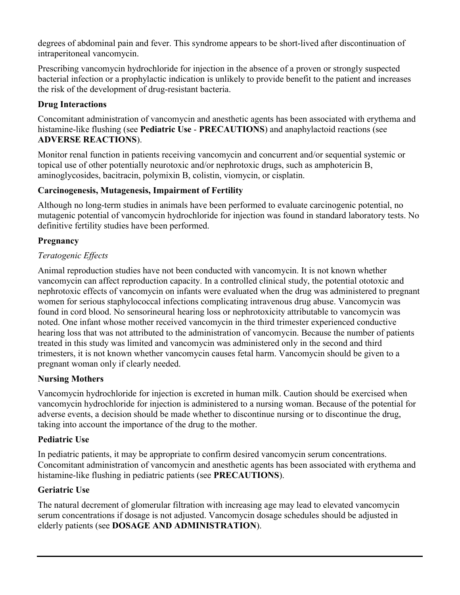degrees of abdominal pain and fever. This syndrome appears to be short-lived after discontinuation of intraperitoneal vancomycin.

Prescribing vancomycin hydrochloride for injection in the absence of a proven or strongly suspected bacterial infection or a prophylactic indication is unlikely to provide benefit to the patient and increases the risk of the development of drug-resistant bacteria.

## **Drug Interactions**

Concomitant administration of vancomycin and anesthetic agents has been associated with erythema and histamine-like flushing (see **Pediatric Use** - **PRECAUTIONS**) and anaphylactoid reactions (see **ADVERSE REACTIONS**).

Monitor renal function in patients receiving vancomycin and concurrent and/or sequential systemic or topical use of other potentially neurotoxic and/or nephrotoxic drugs, such as amphotericin B, aminoglycosides, bacitracin, polymixin B, colistin, viomycin, or cisplatin.

### **Carcinogenesis, Mutagenesis, Impairment of Fertility**

Although no long-term studies in animals have been performed to evaluate carcinogenic potential, no mutagenic potential of vancomycin hydrochloride for injection was found in standard laboratory tests. No definitive fertility studies have been performed.

## **Pregnancy**

## *Teratogenic Effects*

Animal reproduction studies have not been conducted with vancomycin. It is not known whether vancomycin can affect reproduction capacity. In a controlled clinical study, the potential ototoxic and nephrotoxic effects of vancomycin on infants were evaluated when the drug was administered to pregnant women for serious staphylococcal infections complicating intravenous drug abuse. Vancomycin was found in cord blood. No sensorineural hearing loss or nephrotoxicity attributable to vancomycin was noted. One infant whose mother received vancomycin in the third trimester experienced conductive hearing loss that was not attributed to the administration of vancomycin. Because the number of patients treated in this study was limited and vancomycin was administered only in the second and third trimesters, it is not known whether vancomycin causes fetal harm. Vancomycin should be given to a pregnant woman only if clearly needed.

## **Nursing Mothers**

Vancomycin hydrochloride for injection is excreted in human milk. Caution should be exercised when vancomycin hydrochloride for injection is administered to a nursing woman. Because of the potential for adverse events, a decision should be made whether to discontinue nursing or to discontinue the drug, taking into account the importance of the drug to the mother.

### **Pediatric Use**

In pediatric patients, it may be appropriate to confirm desired vancomycin serum concentrations. Concomitant administration of vancomycin and anesthetic agents has been associated with erythema and histamine-like flushing in pediatric patients (see **PRECAUTIONS**).

## **Geriatric Use**

The natural decrement of glomerular filtration with increasing age may lead to elevated vancomycin serum concentrations if dosage is not adjusted. Vancomycin dosage schedules should be adjusted in elderly patients (see **DOSAGE AND ADMINISTRATION**).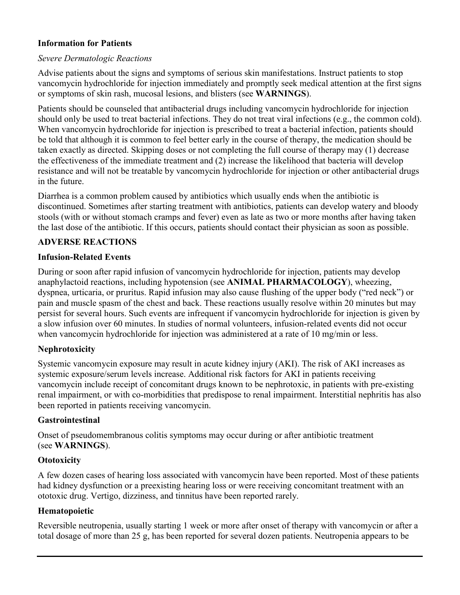### **Information for Patients**

#### *Severe Dermatologic Reactions*

Advise patients about the signs and symptoms of serious skin manifestations. Instruct patients to stop vancomycin hydrochloride for injection immediately and promptly seek medical attention at the first signs or symptoms of skin rash, mucosal lesions, and blisters (see **WARNINGS**).

Patients should be counseled that antibacterial drugs including vancomycin hydrochloride for injection should only be used to treat bacterial infections. They do not treat viral infections (e.g., the common cold). When vancomycin hydrochloride for injection is prescribed to treat a bacterial infection, patients should be told that although it is common to feel better early in the course of therapy, the medication should be taken exactly as directed. Skipping doses or not completing the full course of therapy may (1) decrease the effectiveness of the immediate treatment and (2) increase the likelihood that bacteria will develop resistance and will not be treatable by vancomycin hydrochloride for injection or other antibacterial drugs in the future.

Diarrhea is a common problem caused by antibiotics which usually ends when the antibiotic is discontinued. Sometimes after starting treatment with antibiotics, patients can develop watery and bloody stools (with or without stomach cramps and fever) even as late as two or more months after having taken the last dose of the antibiotic. If this occurs, patients should contact their physician as soon as possible.

### **ADVERSE REACTIONS**

#### **Infusion-Related Events**

During or soon after rapid infusion of vancomycin hydrochloride for injection, patients may develop anaphylactoid reactions, including hypotension (see **ANIMAL PHARMACOLOGY**), wheezing, dyspnea, urticaria, or pruritus. Rapid infusion may also cause flushing of the upper body ("red neck") or pain and muscle spasm of the chest and back. These reactions usually resolve within 20 minutes but may persist for several hours. Such events are infrequent if vancomycin hydrochloride for injection is given by a slow infusion over 60 minutes. In studies of normal volunteers, infusion-related events did not occur when vancomycin hydrochloride for injection was administered at a rate of 10 mg/min or less.

### **Nephrotoxicity**

Systemic vancomycin exposure may result in acute kidney injury (AKI). The risk of AKI increases as systemic exposure/serum levels increase. Additional risk factors for AKI in patients receiving vancomycin include receipt of concomitant drugs known to be nephrotoxic, in patients with pre-existing renal impairment, or with co-morbidities that predispose to renal impairment. Interstitial nephritis has also been reported in patients receiving vancomycin.

#### **Gastrointestinal**

Onset of pseudomembranous colitis symptoms may occur during or after antibiotic treatment (see **WARNINGS**).

#### **Ototoxicity**

A few dozen cases of hearing loss associated with vancomycin have been reported. Most of these patients had kidney dysfunction or a preexisting hearing loss or were receiving concomitant treatment with an ototoxic drug. Vertigo, dizziness, and tinnitus have been reported rarely.

#### **Hematopoietic**

Reversible neutropenia, usually starting 1 week or more after onset of therapy with vancomycin or after a total dosage of more than 25 g, has been reported for several dozen patients. Neutropenia appears to be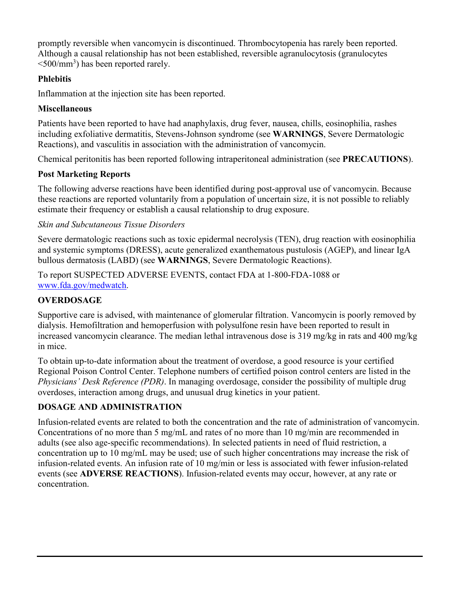promptly reversible when vancomycin is discontinued. Thrombocytopenia has rarely been reported. Although a causal relationship has not been established, reversible agranulocytosis (granulocytes  $\leq 500$ /mm<sup>3</sup>) has been reported rarely.

## **Phlebitis**

Inflammation at the injection site has been reported.

## **Miscellaneous**

Patients have been reported to have had anaphylaxis, drug fever, nausea, chills, eosinophilia, rashes including exfoliative dermatitis, Stevens-Johnson syndrome (see **WARNINGS**, Severe Dermatologic Reactions), and vasculitis in association with the administration of vancomycin.

Chemical peritonitis has been reported following intraperitoneal administration (see **PRECAUTIONS**).

# **Post Marketing Reports**

The following adverse reactions have been identified during post-approval use of vancomycin. Because these reactions are reported voluntarily from a population of uncertain size, it is not possible to reliably estimate their frequency or establish a causal relationship to drug exposure.

# *Skin and Subcutaneous Tissue Disorders*

Severe dermatologic reactions such as toxic epidermal necrolysis (TEN), drug reaction with eosinophilia and systemic symptoms (DRESS), acute generalized exanthematous pustulosis (AGEP), and linear IgA bullous dermatosis (LABD) (see **WARNINGS**, Severe Dermatologic Reactions).

To report SUSPECTED ADVERSE EVENTS, contact FDA at 1-800-FDA-1088 or [www.fda.gov/medwatch](http://www.fda.gov/medwatch).

# **OVERDOSAGE**

Supportive care is advised, with maintenance of glomerular filtration. Vancomycin is poorly removed by dialysis. Hemofiltration and hemoperfusion with polysulfone resin have been reported to result in increased vancomycin clearance. The median lethal intravenous dose is 319 mg/kg in rats and 400 mg/kg in mice.

To obtain up-to-date information about the treatment of overdose, a good resource is your certified Regional Poison Control Center. Telephone numbers of certified poison control centers are listed in the *Physicians' Desk Reference (PDR)*. In managing overdosage, consider the possibility of multiple drug overdoses, interaction among drugs, and unusual drug kinetics in your patient.

# **DOSAGE AND ADMINISTRATION**

Infusion-related events are related to both the concentration and the rate of administration of vancomycin. Concentrations of no more than 5 mg/mL and rates of no more than 10 mg/min are recommended in adults (see also age-specific recommendations). In selected patients in need of fluid restriction, a concentration up to 10 mg/mL may be used; use of such higher concentrations may increase the risk of infusion-related events. An infusion rate of 10 mg/min or less is associated with fewer infusion-related events (see **ADVERSE REACTIONS**). Infusion-related events may occur, however, at any rate or concentration.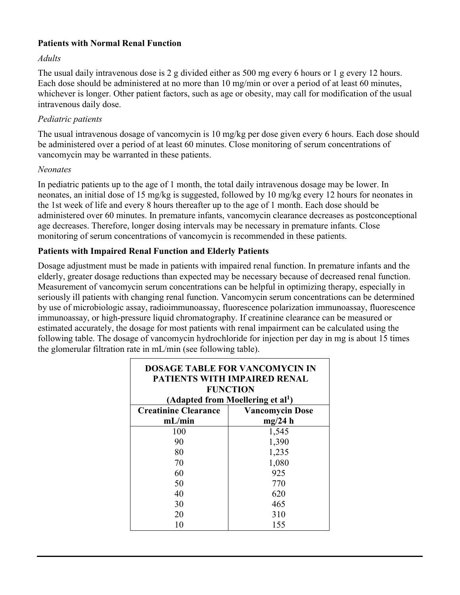### **Patients with Normal Renal Function**

#### *Adults*

The usual daily intravenous dose is 2 g divided either as 500 mg every 6 hours or 1 g every 12 hours. Each dose should be administered at no more than 10 mg/min or over a period of at least 60 minutes, whichever is longer. Other patient factors, such as age or obesity, may call for modification of the usual intravenous daily dose.

### *Pediatric patients*

The usual intravenous dosage of vancomycin is 10 mg/kg per dose given every 6 hours. Each dose should be administered over a period of at least 60 minutes. Close monitoring of serum concentrations of vancomycin may be warranted in these patients.

### *Neonates*

In pediatric patients up to the age of 1 month, the total daily intravenous dosage may be lower. In neonates, an initial dose of 15 mg/kg is suggested, followed by 10 mg/kg every 12 hours for neonates in the 1st week of life and every 8 hours thereafter up to the age of 1 month. Each dose should be administered over 60 minutes. In premature infants, vancomycin clearance decreases as postconceptional age decreases. Therefore, longer dosing intervals may be necessary in premature infants. Close monitoring of serum concentrations of vancomycin is recommended in these patients.

### **Patients with Impaired Renal Function and Elderly Patients**

Dosage adjustment must be made in patients with impaired renal function. In premature infants and the elderly, greater dosage reductions than expected may be necessary because of decreased renal function. Measurement of vancomycin serum concentrations can be helpful in optimizing therapy, especially in seriously ill patients with changing renal function. Vancomycin serum concentrations can be determined by use of microbiologic assay, radioimmunoassay, fluorescence polarization immunoassay, fluorescence immunoassay, or high-pressure liquid chromatography. If creatinine clearance can be measured or estimated accurately, the dosage for most patients with renal impairment can be calculated using the following table. The dosage of vancomycin hydrochloride for injection per day in mg is about 15 times the glomerular filtration rate in mL/min (see following table).

| <b>DOSAGE TABLE FOR VANCOMYCIN IN</b><br><b>PATIENTS WITH IMPAIRED RENAL</b><br><b>FUNCTION</b><br>(Adapted from Moellering et al <sup>1</sup> ) |                        |  |
|--------------------------------------------------------------------------------------------------------------------------------------------------|------------------------|--|
| <b>Creatinine Clearance</b>                                                                                                                      | <b>Vancomycin Dose</b> |  |
| mL/min                                                                                                                                           | mg/24 h                |  |
| 100                                                                                                                                              | 1,545                  |  |
| 90                                                                                                                                               | 1,390                  |  |
| 80                                                                                                                                               | 1,235                  |  |
| 70                                                                                                                                               | 1,080                  |  |
| 60                                                                                                                                               | 925                    |  |
| 50                                                                                                                                               | 770                    |  |
| 40                                                                                                                                               | 620                    |  |
| 30                                                                                                                                               | 465                    |  |
| 20                                                                                                                                               | 310                    |  |
| 10                                                                                                                                               | 155                    |  |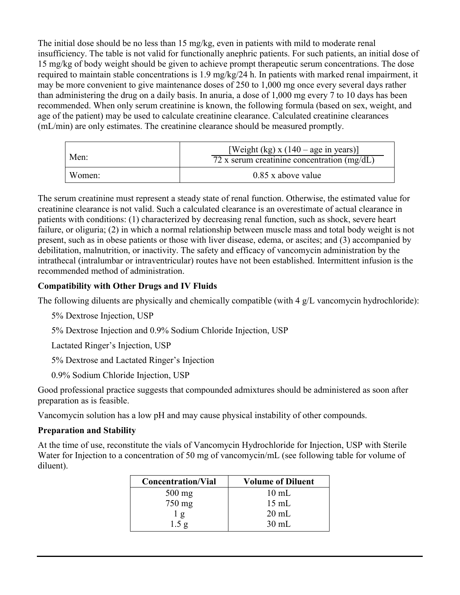The initial dose should be no less than 15 mg/kg, even in patients with mild to moderate renal insufficiency. The table is not valid for functionally anephric patients. For such patients, an initial dose of 15 mg/kg of body weight should be given to achieve prompt therapeutic serum concentrations. The dose required to maintain stable concentrations is 1.9 mg/kg/24 h. In patients with marked renal impairment, it may be more convenient to give maintenance doses of 250 to 1,000 mg once every several days rather than administering the drug on a daily basis. In anuria, a dose of 1,000 mg every 7 to 10 days has been recommended. When only serum creatinine is known, the following formula (based on sex, weight, and age of the patient) may be used to calculate creatinine clearance. Calculated creatinine clearances (mL/min) are only estimates. The creatinine clearance should be measured promptly.

| Men:   | [Weight (kg) x $(140 - age \text{ in years})$ ]<br>72 x serum creatinine concentration $(mg/dL)$ |
|--------|--------------------------------------------------------------------------------------------------|
| Women: | $0.85$ x above value                                                                             |

The serum creatinine must represent a steady state of renal function. Otherwise, the estimated value for creatinine clearance is not valid. Such a calculated clearance is an overestimate of actual clearance in patients with conditions: (1) characterized by decreasing renal function, such as shock, severe heart failure, or oliguria; (2) in which a normal relationship between muscle mass and total body weight is not present, such as in obese patients or those with liver disease, edema, or ascites; and (3) accompanied by debilitation, malnutrition, or inactivity. The safety and efficacy of vancomycin administration by the intrathecal (intralumbar or intraventricular) routes have not been established. Intermittent infusion is the recommended method of administration.

## **Compatibility with Other Drugs and IV Fluids**

The following diluents are physically and chemically compatible (with 4 g/L vancomycin hydrochloride):

5% Dextrose Injection, USP

5% Dextrose Injection and 0.9% Sodium Chloride Injection, USP

Lactated Ringer's Injection, USP

5% Dextrose and Lactated Ringer's Injection

0.9% Sodium Chloride Injection, USP

Good professional practice suggests that compounded admixtures should be administered as soon after preparation as is feasible.

Vancomycin solution has a low pH and may cause physical instability of other compounds.

## **Preparation and Stability**

At the time of use, reconstitute the vials of Vancomycin Hydrochloride for Injection, USP with Sterile Water for Injection to a concentration of 50 mg of vancomycin/mL (see following table for volume of diluent).

| <b>Concentration/Vial</b> | <b>Volume of Diluent</b> |
|---------------------------|--------------------------|
| $500$ mg                  | $10 \text{ mL}$          |
| $750 \text{ mg}$          | $15 \text{ mL}$          |
| 1 g                       | $20 \text{ mL}$          |
| 1.5 g                     | $30 \text{ mL}$          |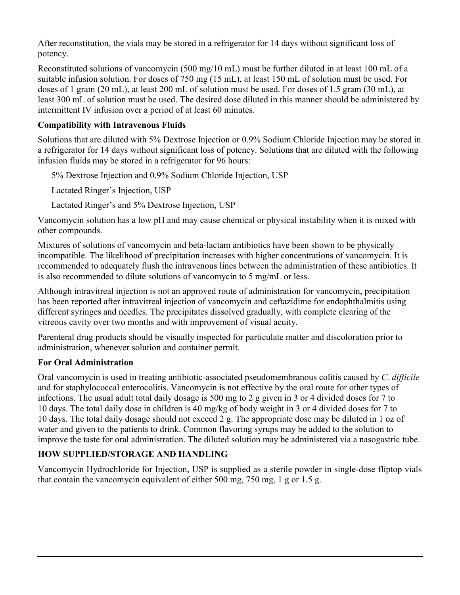After reconstitution, the vials may be stored in a refrigerator for 14 days without significant loss of potency.

Reconstituted solutions of vancomycin (500 mg/10 mL) must be further diluted in at least 100 mL of a suitable infusion solution. For doses of 750 mg (15 mL), at least 150 mL of solution must be used. For doses of 1 gram (20 mL), at least 200 mL of solution must be used. For doses of 1.5 gram (30 mL), at least 300 mL of solution must be used. The desired dose diluted in this manner should be administered by intermittent IV infusion over a period of at least 60 minutes.

## **Compatibility with Intravenous Fluids**

Solutions that are diluted with 5% Dextrose Injection or 0.9% Sodium Chloride Injection may be stored in a refrigerator for 14 days without significant loss of potency. Solutions that are diluted with the following infusion fluids may be stored in a refrigerator for 96 hours:

5% Dextrose Injection and 0.9% Sodium Chloride Injection, USP

Lactated Ringer's Injection, USP

Lactated Ringer's and 5% Dextrose Injection, USP

Vancomycin solution has a low pH and may cause chemical or physical instability when it is mixed with other compounds.

Mixtures of solutions of vancomycin and beta-lactam antibiotics have been shown to be physically incompatible. The likelihood of precipitation increases with higher concentrations of vancomycin. It is recommended to adequately flush the intravenous lines between the administration of these antibiotics. It is also recommended to dilute solutions of vancomycin to 5 mg/mL or less.

Although intravitreal injection is not an approved route of administration for vancomycin, precipitation has been reported after intravitreal injection of vancomycin and ceftazidime for endophthalmitis using different syringes and needles. The precipitates dissolved gradually, with complete clearing of the vitreous cavity over two months and with improvement of visual acuity.

Parenteral drug products should be visually inspected for particulate matter and discoloration prior to administration, whenever solution and container permit.

# **For Oral Administration**

Oral vancomycin is used in treating antibiotic-associated pseudomembranous colitis caused by *C. difficile*  and for staphylococcal enterocolitis. Vancomycin is not effective by the oral route for other types of infections. The usual adult total daily dosage is 500 mg to 2 g given in 3 or 4 divided doses for 7 to 10 days. The total daily dose in children is 40 mg/kg of body weight in 3 or 4 divided doses for 7 to 10 days. The total daily dosage should not exceed 2 g. The appropriate dose may be diluted in 1 oz of water and given to the patients to drink. Common flavoring syrups may be added to the solution to improve the taste for oral administration. The diluted solution may be administered via a nasogastric tube.

# **HOW SUPPLIED/STORAGE AND HANDLING**

Vancomycin Hydrochloride for Injection, USP is supplied as a sterile powder in single-dose fliptop vials that contain the vancomycin equivalent of either 500 mg, 750 mg, 1 g or 1.5 g.